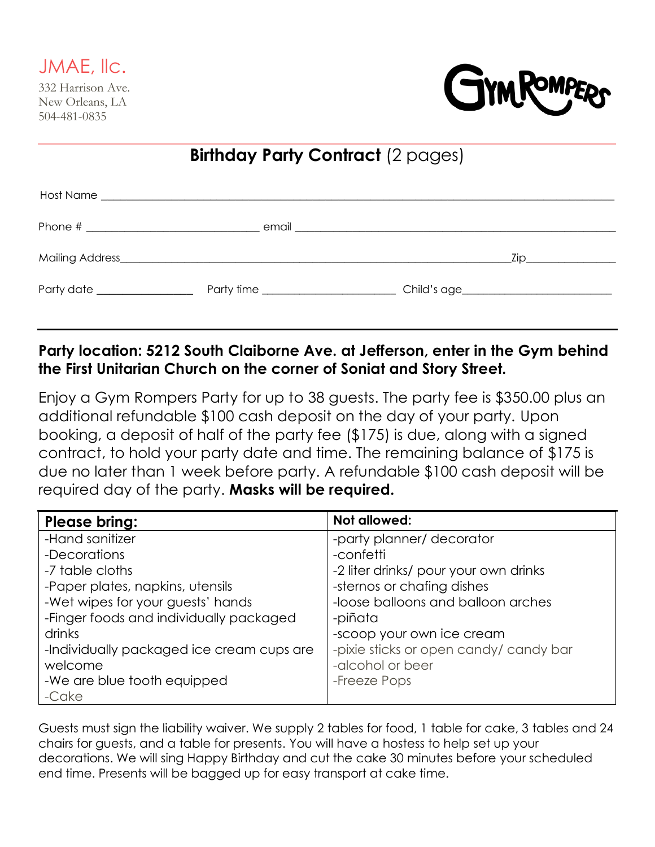

332 Harrison Ave. New Orleans, LA 504-481-0835



| <b>Birthday Party Contract (2 pages)</b> |  |  |                |  |
|------------------------------------------|--|--|----------------|--|
|                                          |  |  |                |  |
|                                          |  |  |                |  |
|                                          |  |  | $\mathsf{Zip}$ |  |
| Party date __________________            |  |  |                |  |

# **Party location: 5212 South Claiborne Ave. at Jefferson, enter in the Gym behind the First Unitarian Church on the corner of Soniat and Story Street.**

Enjoy a Gym Rompers Party for up to 38 guests. The party fee is \$350.00 plus an additional refundable \$100 cash deposit on the day of your party. Upon booking, a deposit of half of the party fee (\$175) is due, along with a signed contract, to hold your party date and time. The remaining balance of \$175 is due no later than 1 week before party. A refundable \$100 cash deposit will be required day of the party. **Masks will be required.**

| <b>Please bring:</b>                      | Not allowed:                           |
|-------------------------------------------|----------------------------------------|
| -Hand sanitizer                           | -party planner/ decorator              |
| -Decorations                              | -confetti                              |
| -7 table cloths                           | -2 liter drinks/ pour your own drinks  |
| -Paper plates, napkins, utensils          | -sternos or chafing dishes             |
| -Wet wipes for your guests' hands         | -loose balloons and balloon arches     |
| -Finger foods and individually packaged   | -piñata                                |
| drinks                                    | -scoop your own ice cream              |
| -Individually packaged ice cream cups are | -pixie sticks or open candy/ candy bar |
| welcome                                   | -alcohol or beer                       |
| -We are blue tooth equipped               | -Freeze Pops                           |
| -Cake                                     |                                        |

Guests must sign the liability waiver. We supply 2 tables for food, 1 table for cake, 3 tables and 24 chairs for guests, and a table for presents. You will have a hostess to help set up your decorations. We will sing Happy Birthday and cut the cake 30 minutes before your scheduled end time. Presents will be bagged up for easy transport at cake time.